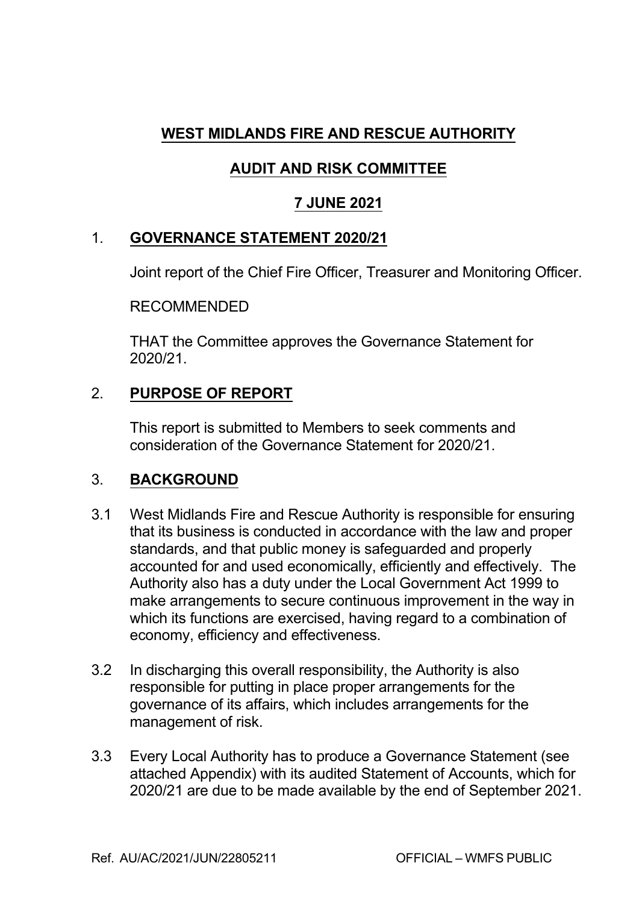# **WEST MIDLANDS FIRE AND RESCUE AUTHORITY**

# **AUDIT AND RISK COMMITTEE**

## **7 JUNE 2021**

## 1. **GOVERNANCE STATEMENT 2020/21**

Joint report of the Chief Fire Officer, Treasurer and Monitoring Officer.

## RECOMMENDED

THAT the Committee approves the Governance Statement for 2020/21.

## 2. **PURPOSE OF REPORT**

This report is submitted to Members to seek comments and consideration of the Governance Statement for 2020/21.

## 3. **BACKGROUND**

- 3.1 West Midlands Fire and Rescue Authority is responsible for ensuring that its business is conducted in accordance with the law and proper standards, and that public money is safeguarded and properly accounted for and used economically, efficiently and effectively. The Authority also has a duty under the Local Government Act 1999 to make arrangements to secure continuous improvement in the way in which its functions are exercised, having regard to a combination of economy, efficiency and effectiveness.
- 3.2 In discharging this overall responsibility, the Authority is also responsible for putting in place proper arrangements for the governance of its affairs, which includes arrangements for the management of risk.
- 3.3 Every Local Authority has to produce a Governance Statement (see attached Appendix) with its audited Statement of Accounts, which for 2020/21 are due to be made available by the end of September 2021.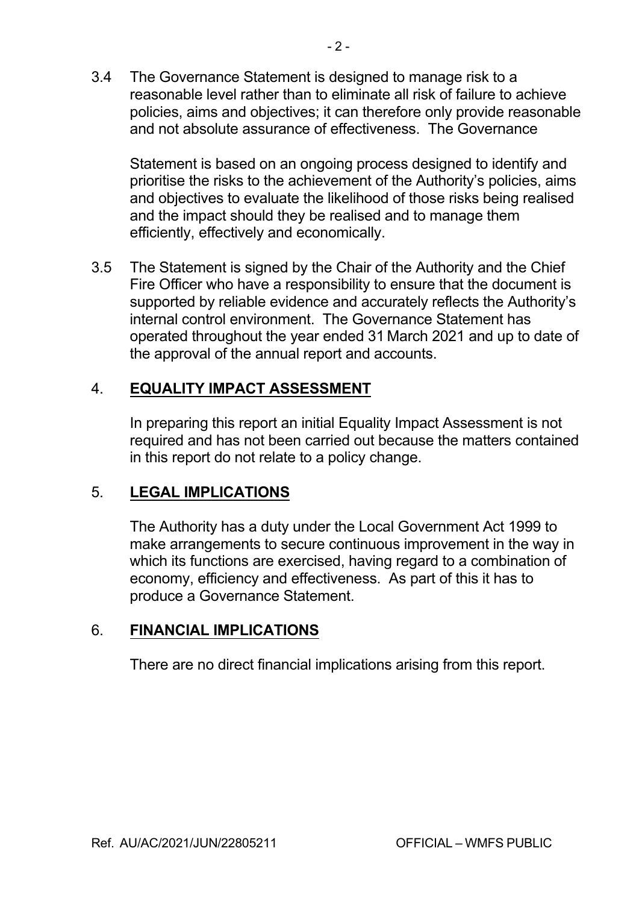3.4 The Governance Statement is designed to manage risk to a reasonable level rather than to eliminate all risk of failure to achieve policies, aims and objectives; it can therefore only provide reasonable and not absolute assurance of effectiveness. The Governance

Statement is based on an ongoing process designed to identify and prioritise the risks to the achievement of the Authority's policies, aims and objectives to evaluate the likelihood of those risks being realised and the impact should they be realised and to manage them efficiently, effectively and economically.

3.5 The Statement is signed by the Chair of the Authority and the Chief Fire Officer who have a responsibility to ensure that the document is supported by reliable evidence and accurately reflects the Authority's internal control environment. The Governance Statement has operated throughout the year ended 31 March 2021 and up to date of the approval of the annual report and accounts.

# 4. **EQUALITY IMPACT ASSESSMENT**

In preparing this report an initial Equality Impact Assessment is not required and has not been carried out because the matters contained in this report do not relate to a policy change.

## 5. **LEGAL IMPLICATIONS**

The Authority has a duty under the Local Government Act 1999 to make arrangements to secure continuous improvement in the way in which its functions are exercised, having regard to a combination of economy, efficiency and effectiveness. As part of this it has to produce a Governance Statement.

## 6. **FINANCIAL IMPLICATIONS**

There are no direct financial implications arising from this report.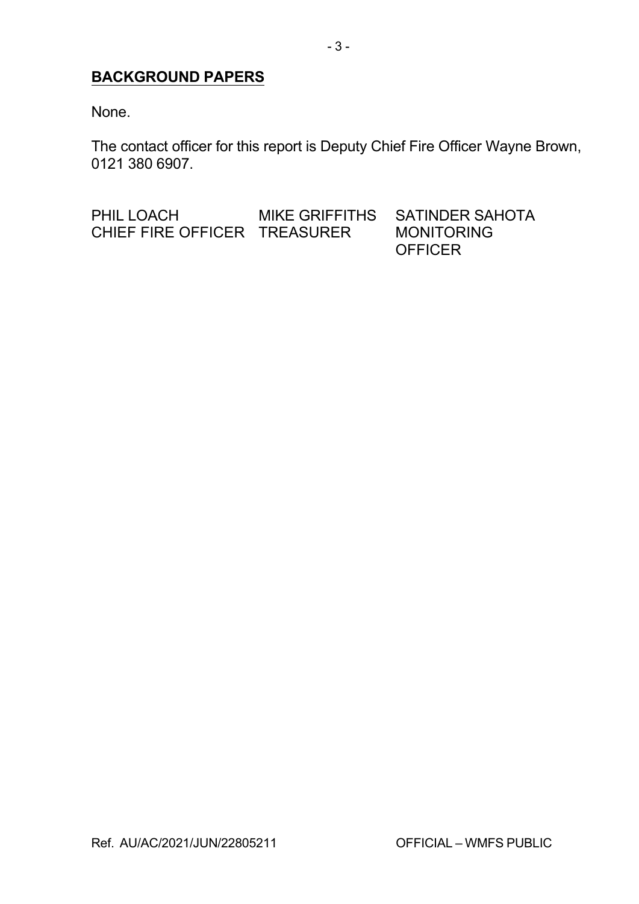# **BACKGROUND PAPERS**

None.

The contact officer for this report is Deputy Chief Fire Officer Wayne Brown, 0121 380 6907.

PHIL LOACH MIKE GRIFFITHS SATINDER SAHOTA CHIEF FIRE OFFICER TREASURER MONITORING **OFFICER**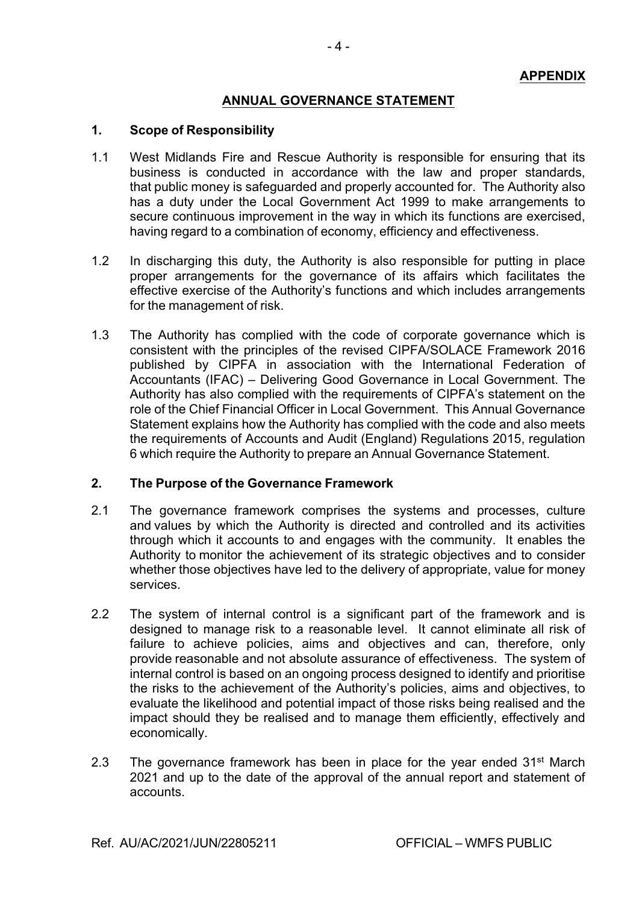### **ANNUAL GOVERNANCE STATEMENT**

### **1. Scope of Responsibility**

- 1.1 West Midlands Fire and Rescue Authority is responsible for ensuring that its business is conducted in accordance with the law and proper standards, that public money is safeguarded and properly accounted for. The Authority also has a duty under the Local Government Act 1999 to make arrangements to secure continuous improvement in the way in which its functions are exercised, having regard to a combination of economy, efficiency and effectiveness.
- 1.2 In discharging this duty, the Authority is also responsible for putting in place proper arrangements for the governance of its affairs which facilitates the effective exercise of the Authority's functions and which includes arrangements for the management of risk.
- 1.3 The Authority has complied with the code of corporate governance which is consistent with the principles of the revised CIPFA/SOLACE Framework 2016 published by CIPFA in association with the International Federation of Accountants (IFAC) – Delivering Good Governance in Local Government. The Authority has also complied with the requirements of CIPFA's statement on the role of the Chief Financial Officer in Local Government. This Annual Governance Statement explains how the Authority has complied with the code and also meets the requirements of Accounts and Audit (England) Regulations 2015, regulation 6 which require the Authority to prepare an Annual Governance Statement.

### **2. The Purpose of the Governance Framework**

- 2.1 The governance framework comprises the systems and processes, culture and values by which the Authority is directed and controlled and its activities through which it accounts to and engages with the community. It enables the Authority to monitor the achievement of its strategic objectives and to consider whether those objectives have led to the delivery of appropriate, value for money services.
- 2.2 The system of internal control is a significant part of the framework and is designed to manage risk to a reasonable level. It cannot eliminate all risk of failure to achieve policies, aims and objectives and can, therefore, only provide reasonable and not absolute assurance of effectiveness. The system of internal control is based on an ongoing process designed to identify and prioritise the risks to the achievement of the Authority's policies, aims and objectives, to evaluate the likelihood and potential impact of those risks being realised and the impact should they be realised and to manage them efficiently, effectively and economically.
- 2.3 The governance framework has been in place for the year ended 31<sup>st</sup> March 2021 and up to the date of the approval of the annual report and statement of accounts.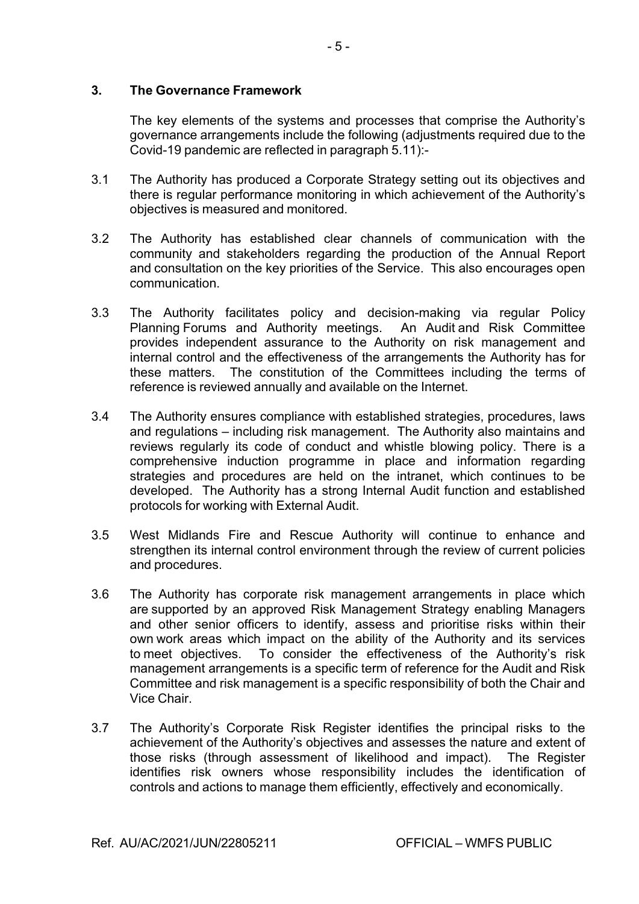### **3. The Governance Framework**

The key elements of the systems and processes that comprise the Authority's governance arrangements include the following (adjustments required due to the Covid-19 pandemic are reflected in paragraph 5.11):-

- 3.1 The Authority has produced a Corporate Strategy setting out its objectives and there is regular performance monitoring in which achievement of the Authority's objectives is measured and monitored.
- 3.2 The Authority has established clear channels of communication with the community and stakeholders regarding the production of the Annual Report and consultation on the key priorities of the Service. This also encourages open communication.
- 3.3 The Authority facilitates policy and decision-making via regular Policy Planning Forums and Authority meetings. An Audit and Risk Committee provides independent assurance to the Authority on risk management and internal control and the effectiveness of the arrangements the Authority has for these matters. The constitution of the Committees including the terms of reference is reviewed annually and available on the Internet.
- 3.4 The Authority ensures compliance with established strategies, procedures, laws and regulations – including risk management. The Authority also maintains and reviews regularly its code of conduct and whistle blowing policy. There is a comprehensive induction programme in place and information regarding strategies and procedures are held on the intranet, which continues to be developed. The Authority has a strong Internal Audit function and established protocols for working with External Audit.
- 3.5 West Midlands Fire and Rescue Authority will continue to enhance and strengthen its internal control environment through the review of current policies and procedures.
- 3.6 The Authority has corporate risk management arrangements in place which are supported by an approved Risk Management Strategy enabling Managers and other senior officers to identify, assess and prioritise risks within their own work areas which impact on the ability of the Authority and its services to meet objectives. To consider the effectiveness of the Authority's risk management arrangements is a specific term of reference for the Audit and Risk Committee and risk management is a specific responsibility of both the Chair and Vice Chair.
- 3.7 The Authority's Corporate Risk Register identifies the principal risks to the achievement of the Authority's objectives and assesses the nature and extent of those risks (through assessment of likelihood and impact). The Register identifies risk owners whose responsibility includes the identification of controls and actions to manage them efficiently, effectively and economically.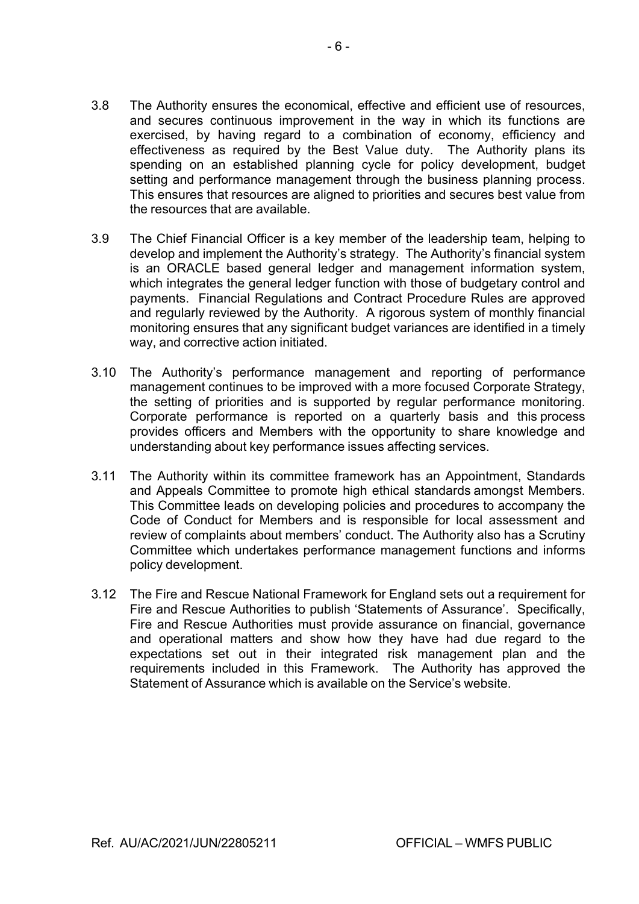- 3.8 The Authority ensures the economical, effective and efficient use of resources, and secures continuous improvement in the way in which its functions are exercised, by having regard to a combination of economy, efficiency and effectiveness as required by the Best Value duty. The Authority plans its spending on an established planning cycle for policy development, budget setting and performance management through the business planning process. This ensures that resources are aligned to priorities and secures best value from the resources that are available.
- 3.9 The Chief Financial Officer is a key member of the leadership team, helping to develop and implement the Authority's strategy. The Authority's financial system is an ORACLE based general ledger and management information system, which integrates the general ledger function with those of budgetary control and payments. Financial Regulations and Contract Procedure Rules are approved and regularly reviewed by the Authority. A rigorous system of monthly financial monitoring ensures that any significant budget variances are identified in a timely way, and corrective action initiated.
- 3.10 The Authority's performance management and reporting of performance management continues to be improved with a more focused Corporate Strategy, the setting of priorities and is supported by regular performance monitoring. Corporate performance is reported on a quarterly basis and this process provides officers and Members with the opportunity to share knowledge and understanding about key performance issues affecting services.
- 3.11 The Authority within its committee framework has an Appointment, Standards and Appeals Committee to promote high ethical standards amongst Members. This Committee leads on developing policies and procedures to accompany the Code of Conduct for Members and is responsible for local assessment and review of complaints about members' conduct. The Authority also has a Scrutiny Committee which undertakes performance management functions and informs policy development.
- 3.12 The Fire and Rescue National Framework for England sets out a requirement for Fire and Rescue Authorities to publish 'Statements of Assurance'. Specifically, Fire and Rescue Authorities must provide assurance on financial, governance and operational matters and show how they have had due regard to the expectations set out in their integrated risk management plan and the requirements included in this Framework. The Authority has approved the Statement of Assurance which is available on the Service's website.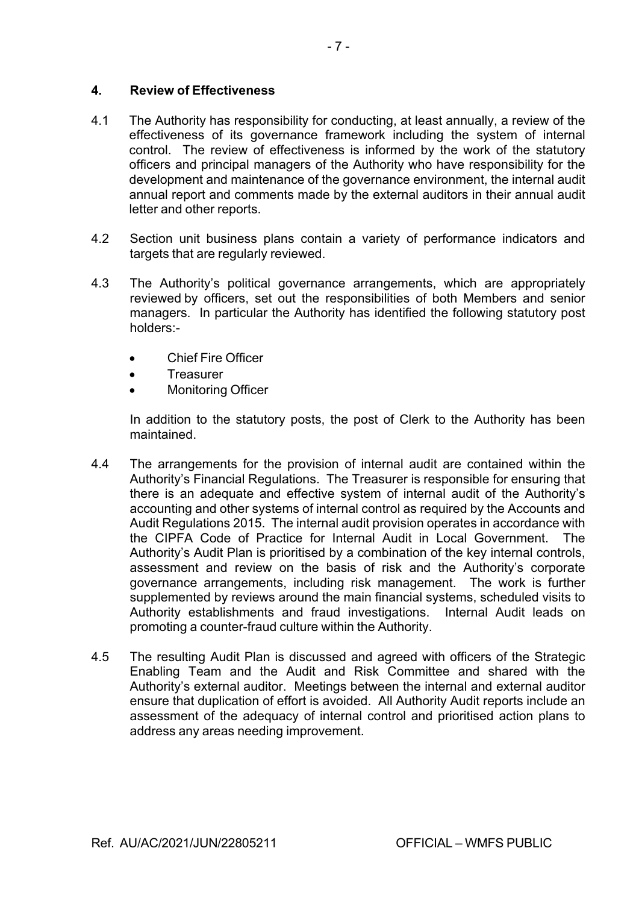### **4. Review of Effectiveness**

- 4.1 The Authority has responsibility for conducting, at least annually, a review of the effectiveness of its governance framework including the system of internal control. The review of effectiveness is informed by the work of the statutory officers and principal managers of the Authority who have responsibility for the development and maintenance of the governance environment, the internal audit annual report and comments made by the external auditors in their annual audit letter and other reports.
- 4.2 Section unit business plans contain a variety of performance indicators and targets that are regularly reviewed.
- 4.3 The Authority's political governance arrangements, which are appropriately reviewed by officers, set out the responsibilities of both Members and senior managers. In particular the Authority has identified the following statutory post holders:
	- Chief Fire Officer
	- **Treasurer**
	- Monitoring Officer

In addition to the statutory posts, the post of Clerk to the Authority has been maintained.

- 4.4 The arrangements for the provision of internal audit are contained within the Authority's Financial Regulations. The Treasurer is responsible for ensuring that there is an adequate and effective system of internal audit of the Authority's accounting and other systems of internal control as required by the Accounts and Audit Regulations 2015. The internal audit provision operates in accordance with the CIPFA Code of Practice for Internal Audit in Local Government. The Authority's Audit Plan is prioritised by a combination of the key internal controls, assessment and review on the basis of risk and the Authority's corporate governance arrangements, including risk management. The work is further supplemented by reviews around the main financial systems, scheduled visits to Authority establishments and fraud investigations. Internal Audit leads on promoting a counter-fraud culture within the Authority.
- 4.5 The resulting Audit Plan is discussed and agreed with officers of the Strategic Enabling Team and the Audit and Risk Committee and shared with the Authority's external auditor. Meetings between the internal and external auditor ensure that duplication of effort is avoided. All Authority Audit reports include an assessment of the adequacy of internal control and prioritised action plans to address any areas needing improvement.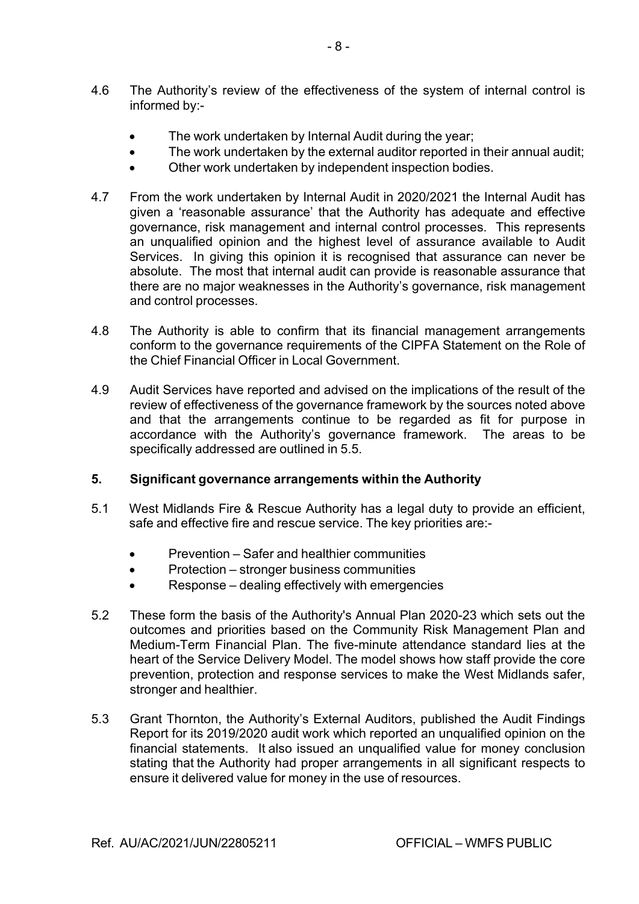- 4.6 The Authority's review of the effectiveness of the system of internal control is informed by:
	- The work undertaken by Internal Audit during the year;
	- The work undertaken by the external auditor reported in their annual audit;
	- Other work undertaken by independent inspection bodies.
- 4.7 From the work undertaken by Internal Audit in 2020/2021 the Internal Audit has given a 'reasonable assurance' that the Authority has adequate and effective governance, risk management and internal control processes. This represents an unqualified opinion and the highest level of assurance available to Audit Services. In giving this opinion it is recognised that assurance can never be absolute. The most that internal audit can provide is reasonable assurance that there are no major weaknesses in the Authority's governance, risk management and control processes.
- 4.8 The Authority is able to confirm that its financial management arrangements conform to the governance requirements of the CIPFA Statement on the Role of the Chief Financial Officer in Local Government.
- 4.9 Audit Services have reported and advised on the implications of the result of the review of effectiveness of the governance framework by the sources noted above and that the arrangements continue to be regarded as fit for purpose in accordance with the Authority's governance framework. The areas to be specifically addressed are outlined in 5.5.

### **5. Significant governance arrangements within the Authority**

- 5.1 West Midlands Fire & Rescue Authority has a legal duty to provide an efficient, safe and effective fire and rescue service. The key priorities are:
	- Prevention Safer and healthier communities
	- Protection stronger business communities
	- Response dealing effectively with emergencies
- 5.2 These form the basis of the Authority's Annual Plan 2020-23 which sets out the outcomes and priorities based on the Community Risk Management Plan and Medium-Term Financial Plan. The five-minute attendance standard lies at the heart of the Service Delivery Model. The model shows how staff provide the core prevention, protection and response services to make the West Midlands safer, stronger and healthier.
- 5.3 Grant Thornton, the Authority's External Auditors, published the Audit Findings Report for its 2019/2020 audit work which reported an unqualified opinion on the financial statements. It also issued an unqualified value for money conclusion stating that the Authority had proper arrangements in all significant respects to ensure it delivered value for money in the use of resources.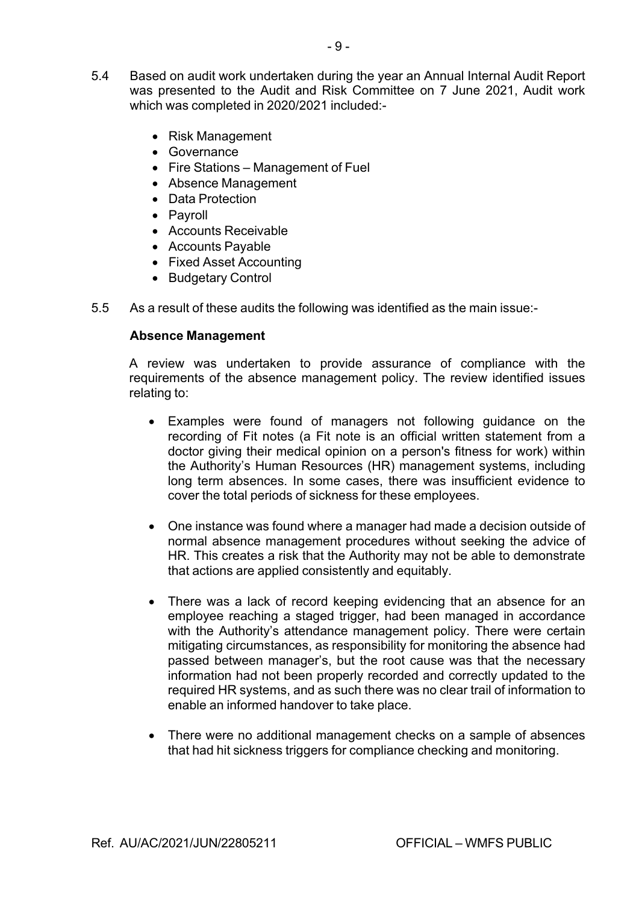- 5.4 Based on audit work undertaken during the year an Annual Internal Audit Report was presented to the Audit and Risk Committee on 7 June 2021, Audit work which was completed in 2020/2021 included:
	- Risk Management
	- Governance
	- Fire Stations Management of Fuel
	- Absence Management
	- Data Protection
	- Payroll
	- Accounts Receivable
	- Accounts Payable
	- Fixed Asset Accounting
	- Budgetary Control
- 5.5 As a result of these audits the following was identified as the main issue:

#### **Absence Management**

A review was undertaken to provide assurance of compliance with the requirements of the absence management policy. The review identified issues relating to:

- Examples were found of managers not following guidance on the recording of Fit notes (a Fit note is an official written statement from a doctor giving their medical opinion on a person's fitness for work) within the Authority's Human Resources (HR) management systems, including long term absences. In some cases, there was insufficient evidence to cover the total periods of sickness for these employees.
- One instance was found where a manager had made a decision outside of normal absence management procedures without seeking the advice of HR. This creates a risk that the Authority may not be able to demonstrate that actions are applied consistently and equitably.
- There was a lack of record keeping evidencing that an absence for an employee reaching a staged trigger, had been managed in accordance with the Authority's attendance management policy. There were certain mitigating circumstances, as responsibility for monitoring the absence had passed between manager's, but the root cause was that the necessary information had not been properly recorded and correctly updated to the required HR systems, and as such there was no clear trail of information to enable an informed handover to take place.
- There were no additional management checks on a sample of absences that had hit sickness triggers for compliance checking and monitoring.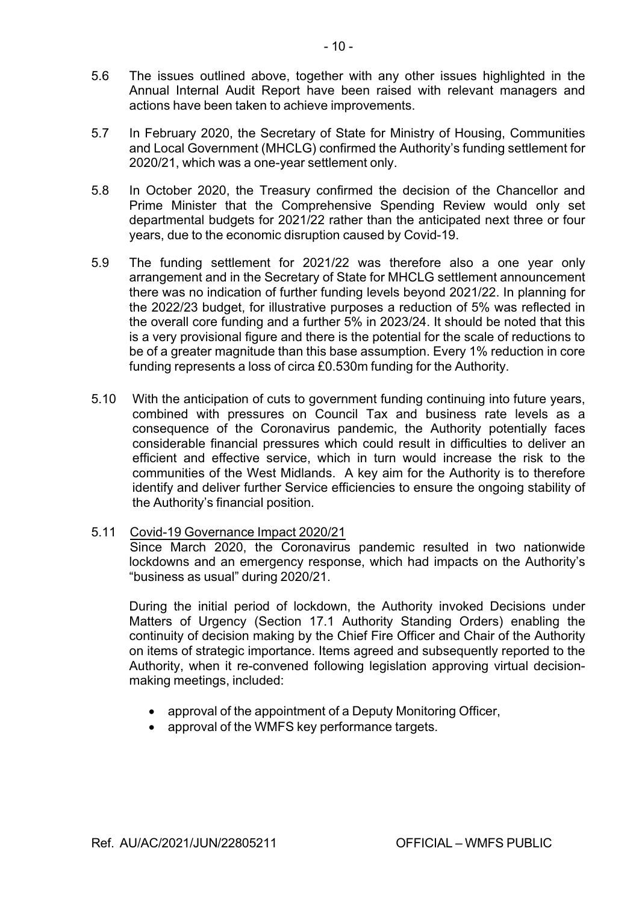- 5.6 The issues outlined above, together with any other issues highlighted in the Annual Internal Audit Report have been raised with relevant managers and actions have been taken to achieve improvements.
- 5.7 In February 2020, the Secretary of State for Ministry of Housing, Communities and Local Government (MHCLG) confirmed the Authority's funding settlement for 2020/21, which was a one-year settlement only.
- 5.8 In October 2020, the Treasury confirmed the decision of the Chancellor and Prime Minister that the Comprehensive Spending Review would only set departmental budgets for 2021/22 rather than the anticipated next three or four years, due to the economic disruption caused by Covid-19.
- 5.9 The funding settlement for 2021/22 was therefore also a one year only arrangement and in the Secretary of State for MHCLG settlement announcement there was no indication of further funding levels beyond 2021/22. In planning for the 2022/23 budget, for illustrative purposes a reduction of 5% was reflected in the overall core funding and a further 5% in 2023/24. It should be noted that this is a very provisional figure and there is the potential for the scale of reductions to be of a greater magnitude than this base assumption. Every 1% reduction in core funding represents a loss of circa £0.530m funding for the Authority.
- 5.10 With the anticipation of cuts to government funding continuing into future years, combined with pressures on Council Tax and business rate levels as a consequence of the Coronavirus pandemic, the Authority potentially faces considerable financial pressures which could result in difficulties to deliver an efficient and effective service, which in turn would increase the risk to the communities of the West Midlands. A key aim for the Authority is to therefore identify and deliver further Service efficiencies to ensure the ongoing stability of the Authority's financial position.
- 5.11 Covid-19 Governance Impact 2020/21

Since March 2020, the Coronavirus pandemic resulted in two nationwide lockdowns and an emergency response, which had impacts on the Authority's "business as usual" during 2020/21.

During the initial period of lockdown, the Authority invoked Decisions under Matters of Urgency (Section 17.1 Authority Standing Orders) enabling the continuity of decision making by the Chief Fire Officer and Chair of the Authority on items of strategic importance. Items agreed and subsequently reported to the Authority, when it reconvened following legislation approving virtual decisionmaking meetings, included:

- approval of the appointment of a Deputy Monitoring Officer,
- approval of the WMFS key performance targets.